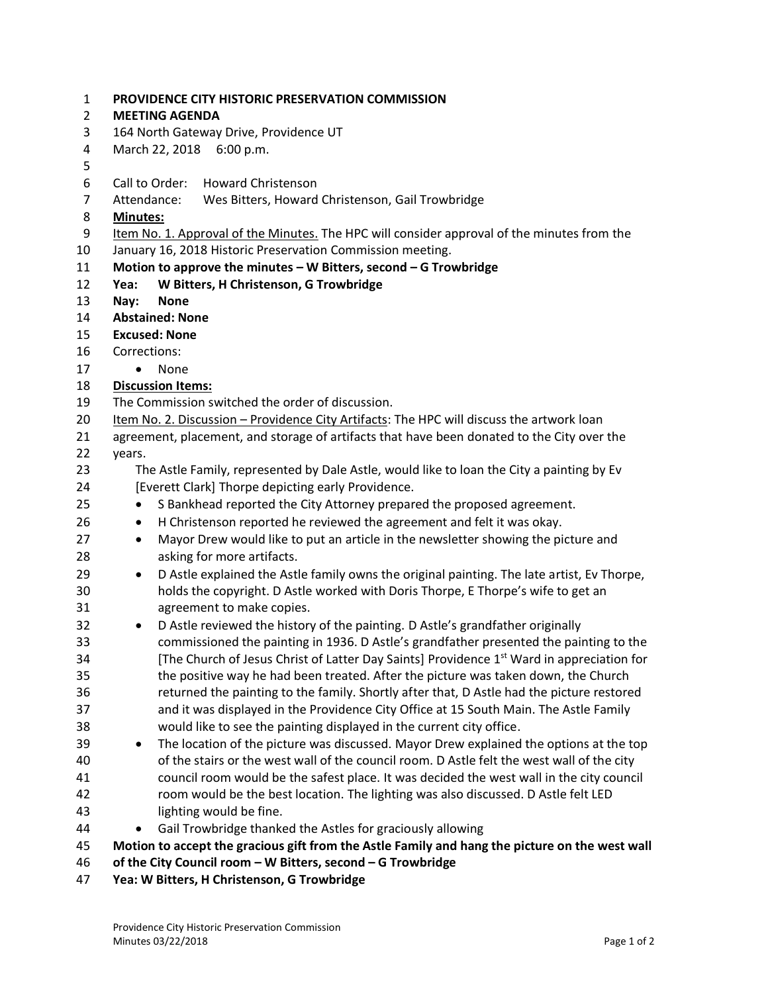| 1              | PROVIDENCE CITY HISTORIC PRESERVATION COMMISSION                                                      |
|----------------|-------------------------------------------------------------------------------------------------------|
| $\overline{2}$ | <b>MEETING AGENDA</b>                                                                                 |
| 3              | 164 North Gateway Drive, Providence UT                                                                |
| 4              | March 22, 2018 6:00 p.m.                                                                              |
| 5              |                                                                                                       |
| 6              | Call to Order:<br><b>Howard Christenson</b>                                                           |
| $\overline{7}$ | Attendance:<br>Wes Bitters, Howard Christenson, Gail Trowbridge                                       |
| 8              | <b>Minutes:</b>                                                                                       |
| 9              | Item No. 1. Approval of the Minutes. The HPC will consider approval of the minutes from the           |
| 10             | January 16, 2018 Historic Preservation Commission meeting.                                            |
| 11             | Motion to approve the minutes $-$ W Bitters, second $-$ G Trowbridge                                  |
| 12             | W Bitters, H Christenson, G Trowbridge<br>Yea:                                                        |
| 13             | <b>None</b><br>Nay:                                                                                   |
| 14             | <b>Abstained: None</b>                                                                                |
| 15             | <b>Excused: None</b>                                                                                  |
| 16             | Corrections:                                                                                          |
| 17             | None<br>$\bullet$                                                                                     |
| 18             | <b>Discussion Items:</b>                                                                              |
| 19             | The Commission switched the order of discussion.                                                      |
| 20             | Item No. 2. Discussion - Providence City Artifacts: The HPC will discuss the artwork loan             |
| 21             | agreement, placement, and storage of artifacts that have been donated to the City over the            |
| 22             | years.                                                                                                |
| 23             | The Astle Family, represented by Dale Astle, would like to loan the City a painting by Ev             |
| 24             | [Everett Clark] Thorpe depicting early Providence.                                                    |
| 25             | S Bankhead reported the City Attorney prepared the proposed agreement.<br>$\bullet$                   |
| 26             | H Christenson reported he reviewed the agreement and felt it was okay.<br>$\bullet$                   |
| 27             | Mayor Drew would like to put an article in the newsletter showing the picture and<br>$\bullet$        |
| 28             | asking for more artifacts.                                                                            |
| 29             | D Astle explained the Astle family owns the original painting. The late artist, Ev Thorpe,<br>٠       |
| 30             | holds the copyright. D Astle worked with Doris Thorpe, E Thorpe's wife to get an                      |
| 31             | agreement to make copies.                                                                             |
| 32             | D Astle reviewed the history of the painting. D Astle's grandfather originally<br>$\bullet$           |
| 33             | commissioned the painting in 1936. D Astle's grandfather presented the painting to the                |
| 34             | [The Church of Jesus Christ of Latter Day Saints] Providence 1 <sup>st</sup> Ward in appreciation for |
| 35             | the positive way he had been treated. After the picture was taken down, the Church                    |
| 36             | returned the painting to the family. Shortly after that, D Astle had the picture restored             |
| 37             | and it was displayed in the Providence City Office at 15 South Main. The Astle Family                 |
| 38             | would like to see the painting displayed in the current city office.                                  |
| 39             | The location of the picture was discussed. Mayor Drew explained the options at the top<br>$\bullet$   |
| 40             | of the stairs or the west wall of the council room. D Astle felt the west wall of the city            |
| 41             | council room would be the safest place. It was decided the west wall in the city council              |
| 42             | room would be the best location. The lighting was also discussed. D Astle felt LED                    |
| 43             | lighting would be fine.                                                                               |
| 44             | Gail Trowbridge thanked the Astles for graciously allowing                                            |
| 45             | Motion to accept the gracious gift from the Astle Family and hang the picture on the west wall        |
| 46             | of the City Council room - W Bitters, second - G Trowbridge                                           |

**Yea: W Bitters, H Christenson, G Trowbridge**